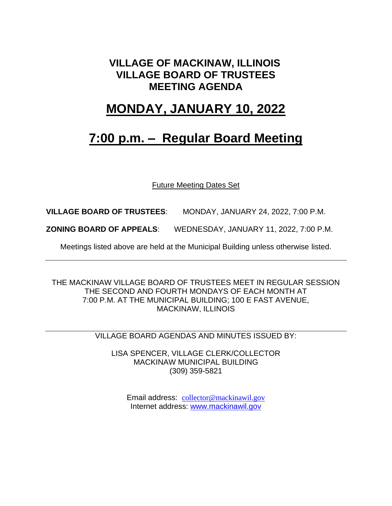### **VILLAGE OF MACKINAW, ILLINOIS VILLAGE BOARD OF TRUSTEES MEETING AGENDA**

### **MONDAY, JANUARY 10, 2022**

## **7:00 p.m. – Regular Board Meeting**

Future Meeting Dates Set

**VILLAGE BOARD OF TRUSTEES**: MONDAY, JANUARY 24, 2022, 7:00 P.M.

**ZONING BOARD OF APPEALS**: WEDNESDAY, JANUARY 11, 2022, 7:00 P.M.

Meetings listed above are held at the Municipal Building unless otherwise listed.

THE MACKINAW VILLAGE BOARD OF TRUSTEES MEET IN REGULAR SESSION THE SECOND AND FOURTH MONDAYS OF EACH MONTH AT 7:00 P.M. AT THE MUNICIPAL BUILDING; 100 E FAST AVENUE, MACKINAW, ILLINOIS

VILLAGE BOARD AGENDAS AND MINUTES ISSUED BY:

LISA SPENCER, VILLAGE CLERK/COLLECTOR MACKINAW MUNICIPAL BUILDING (309) 359-5821

Email address: [collector@mackinawil.gov](mailto:collector@mackinawil.gov) Internet address: [www.mackinawil.gov](http://www.mackinawil.gov/)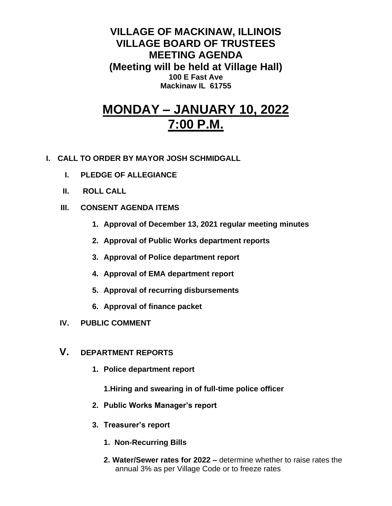**VILLAGE OF MACKINAW, ILLINOIS VILLAGE BOARD OF TRUSTEES MEETING AGENDA (Meeting will be held at Village Hall) 100 E Fast Ave Mackinaw IL 61755**

# **MONDAY – JANUARY 10, 2022 7:00 P.M.**

- **I. CALL TO ORDER BY MAYOR JOSH SCHMIDGALL**
	- **I. PLEDGE OF ALLEGIANCE**
	- **II. ROLL CALL**
	- **III. CONSENT AGENDA ITEMS** 
		- **1. Approval of December 13, 2021 regular meeting minutes**
		- **2. Approval of Public Works department reports**
		- **3. Approval of Police department report**
		- **4. Approval of EMA department report**
		- **5. Approval of recurring disbursements**
		- **6. Approval of finance packet**
	- **IV. PUBLIC COMMENT**
	- **V. DEPARTMENT REPORTS** 
		- **1. Police department report**
			- **1.Hiring and swearing in of full-time police officer**
		- **2. Public Works Manager's report**
		- **3. Treasurer's report** 
			- **1. Non-Recurring Bills**
			- **2. Water/Sewer rates for 2022 –** determine whether to raise rates the annual 3% as per Village Code or to freeze rates